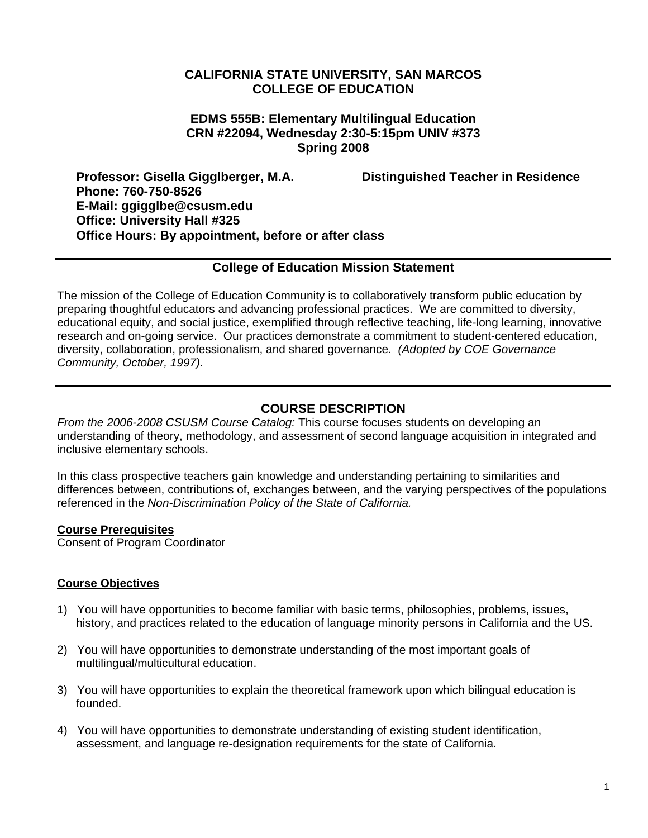## **CALIFORNIA STATE UNIVERSITY, SAN MARCOS COLLEGE OF EDUCATION**

## **EDMS 555B: Elementary Multilingual Education CRN #22094, Wednesday 2:30-5:15pm UNIV #373 Spring 2008**

**Professor: Gisella Gigglberger, M.A. Distinguished Teacher in Residence Phone: 760-750-8526 E-Mail: ggigglbe@csusm.edu Office: University Hall #325 Office Hours: By appointment, before or after class** 

## **College of Education Mission Statement**

The mission of the College of Education Community is to collaboratively transform public education by preparing thoughtful educators and advancing professional practices. We are committed to diversity, educational equity, and social justice, exemplified through reflective teaching, life-long learning, innovative research and on-going service. Our practices demonstrate a commitment to student-centered education, diversity, collaboration, professionalism, and shared governance. *(Adopted by COE Governance Community, October, 1997).* 

## **COURSE DESCRIPTION**

*From the 2006-2008 CSUSM Course Catalog:* This course focuses students on developing an understanding of theory, methodology, and assessment of second language acquisition in integrated and inclusive elementary schools.

In this class prospective teachers gain knowledge and understanding pertaining to similarities and differences between, contributions of, exchanges between, and the varying perspectives of the populations referenced in the *Non-Discrimination Policy of the State of California.*

#### **Course Prerequisites**

Consent of Program Coordinator

#### **Course Objectives**

- 1) You will have opportunities to become familiar with basic terms, philosophies, problems, issues, history, and practices related to the education of language minority persons in California and the US.
- 2) You will have opportunities to demonstrate understanding of the most important goals of multilingual/multicultural education.
- 3) You will have opportunities to explain the theoretical framework upon which bilingual education is founded.
- 4) You will have opportunities to demonstrate understanding of existing student identification, assessment, and language re-designation requirements for the state of California*.*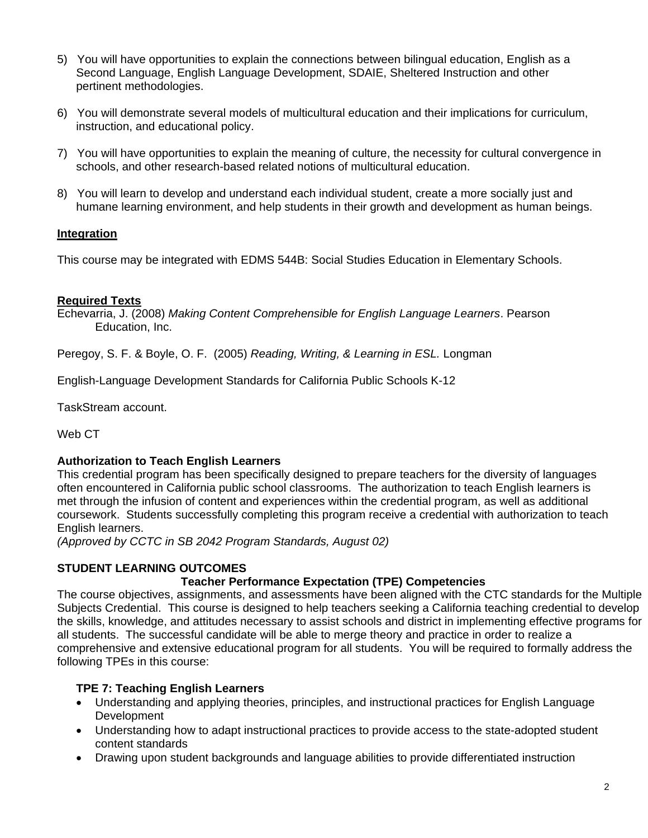- 5) You will have opportunities to explain the connections between bilingual education, English as a Second Language, English Language Development, SDAIE, Sheltered Instruction and other pertinent methodologies.
- 6) You will demonstrate several models of multicultural education and their implications for curriculum, instruction, and educational policy.
- 7) You will have opportunities to explain the meaning of culture, the necessity for cultural convergence in schools, and other research-based related notions of multicultural education.
- 8) You will learn to develop and understand each individual student, create a more socially just and humane learning environment, and help students in their growth and development as human beings.

# **Integration**

This course may be integrated with EDMS 544B: Social Studies Education in Elementary Schools.

#### **Required Texts**

Echevarria, J. (2008) *Making Content Comprehensible for English Language Learners*. Pearson Education, Inc.

Peregoy, S. F. & Boyle, O. F. (2005) *Reading, Writing, & Learning in ESL.* Longman

English-Language Development Standards for California Public Schools K-12

TaskStream account.

Web CT

#### **Authorization to Teach English Learners**

This credential program has been specifically designed to prepare teachers for the diversity of languages often encountered in California public school classrooms. The authorization to teach English learners is met through the infusion of content and experiences within the credential program, as well as additional coursework. Students successfully completing this program receive a credential with authorization to teach English learners.

*(Approved by CCTC in SB 2042 Program Standards, August 02)*

#### **STUDENT LEARNING OUTCOMES**

#### **Teacher Performance Expectation (TPE) Competencies**

The course objectives, assignments, and assessments have been aligned with the CTC standards for the Multiple Subjects Credential. This course is designed to help teachers seeking a California teaching credential to develop the skills, knowledge, and attitudes necessary to assist schools and district in implementing effective programs for all students. The successful candidate will be able to merge theory and practice in order to realize a comprehensive and extensive educational program for all students. You will be required to formally address the following TPEs in this course:

#### **TPE 7: Teaching English Learners**

- Understanding and applying theories, principles, and instructional practices for English Language Development
- Understanding how to adapt instructional practices to provide access to the state-adopted student content standards
- Drawing upon student backgrounds and language abilities to provide differentiated instruction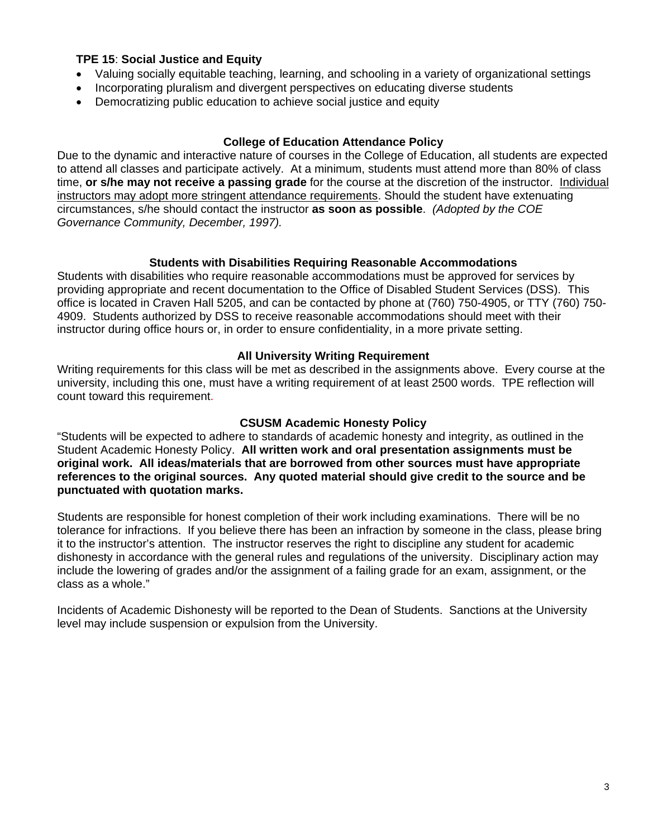#### **TPE 15**: **Social Justice and Equity**

- Valuing socially equitable teaching, learning, and schooling in a variety of organizational settings
- Incorporating pluralism and divergent perspectives on educating diverse students
- Democratizing public education to achieve social justice and equity

#### **College of Education Attendance Policy**

Due to the dynamic and interactive nature of courses in the College of Education, all students are expected to attend all classes and participate actively. At a minimum, students must attend more than 80% of class time, **or s/he may not receive a passing grade** for the course at the discretion of the instructor. Individual instructors may adopt more stringent attendance requirements. Should the student have extenuating circumstances, s/he should contact the instructor **as soon as possible**. *(Adopted by the COE Governance Community, December, 1997).*

#### **Students with Disabilities Requiring Reasonable Accommodations**

Students with disabilities who require reasonable accommodations must be approved for services by providing appropriate and recent documentation to the Office of Disabled Student Services (DSS). This office is located in Craven Hall 5205, and can be contacted by phone at (760) 750-4905, or TTY (760) 750- 4909. Students authorized by DSS to receive reasonable accommodations should meet with their instructor during office hours or, in order to ensure confidentiality, in a more private setting.

#### **All University Writing Requirement**

Writing requirements for this class will be met as described in the assignments above. Every course at the university, including this one, must have a writing requirement of at least 2500 words. TPE reflection will count toward this requirement.

#### **CSUSM Academic Honesty Policy**

"Students will be expected to adhere to standards of academic honesty and integrity, as outlined in the Student Academic Honesty Policy. **All written work and oral presentation assignments must be original work. All ideas/materials that are borrowed from other sources must have appropriate references to the original sources. Any quoted material should give credit to the source and be punctuated with quotation marks.**

Students are responsible for honest completion of their work including examinations. There will be no tolerance for infractions. If you believe there has been an infraction by someone in the class, please bring it to the instructor's attention. The instructor reserves the right to discipline any student for academic dishonesty in accordance with the general rules and regulations of the university. Disciplinary action may include the lowering of grades and/or the assignment of a failing grade for an exam, assignment, or the class as a whole."

Incidents of Academic Dishonesty will be reported to the Dean of Students. Sanctions at the University level may include suspension or expulsion from the University.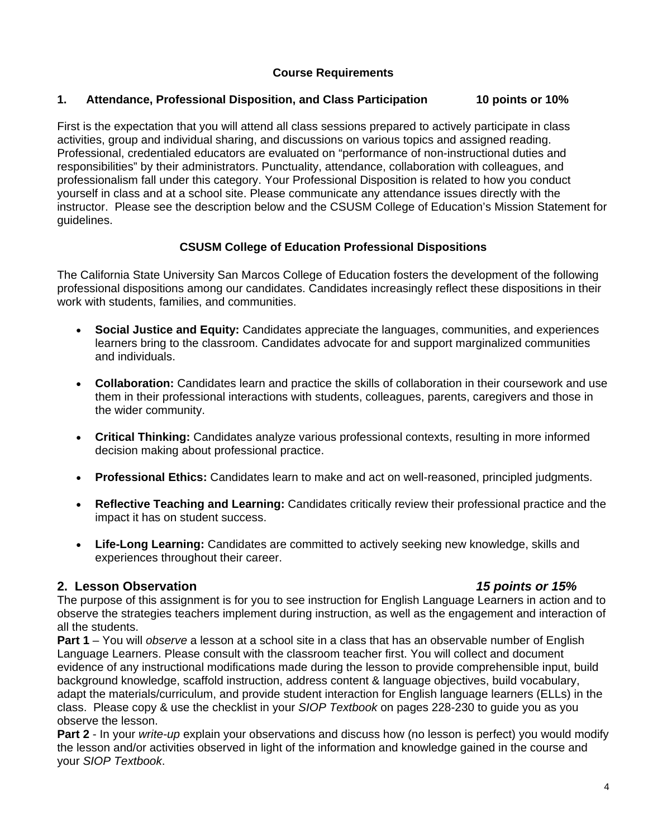# **Course Requirements**

# **1. Attendance, Professional Disposition, and Class Participation 10 points or 10%**

First is the expectation that you will attend all class sessions prepared to actively participate in class activities, group and individual sharing, and discussions on various topics and assigned reading. Professional, credentialed educators are evaluated on "performance of non-instructional duties and responsibilities" by their administrators. Punctuality, attendance, collaboration with colleagues, and professionalism fall under this category. Your Professional Disposition is related to how you conduct yourself in class and at a school site. Please communicate any attendance issues directly with the instructor. Please see the description below and the CSUSM College of Education's Mission Statement for guidelines.

# **CSUSM College of Education Professional Dispositions**

The California State University San Marcos College of Education fosters the development of the following professional dispositions among our candidates. Candidates increasingly reflect these dispositions in their work with students, families, and communities.

- **Social Justice and Equity:** Candidates appreciate the languages, communities, and experiences learners bring to the classroom. Candidates advocate for and support marginalized communities and individuals.
- **Collaboration:** Candidates learn and practice the skills of collaboration in their coursework and use them in their professional interactions with students, colleagues, parents, caregivers and those in the wider community.
- **Critical Thinking:** Candidates analyze various professional contexts, resulting in more informed decision making about professional practice.
- **Professional Ethics:** Candidates learn to make and act on well-reasoned, principled judgments.
- **Reflective Teaching and Learning:** Candidates critically review their professional practice and the impact it has on student success.
- **Life-Long Learning:** Candidates are committed to actively seeking new knowledge, skills and experiences throughout their career.

# **2. Lesson Observation** *15 points or 15%*

The purpose of this assignment is for you to see instruction for English Language Learners in action and to observe the strategies teachers implement during instruction, as well as the engagement and interaction of all the students.

**Part 1** – You will *observe* a lesson at a school site in a class that has an observable number of English Language Learners. Please consult with the classroom teacher first. You will collect and document evidence of any instructional modifications made during the lesson to provide comprehensible input, build background knowledge, scaffold instruction, address content & language objectives, build vocabulary, adapt the materials/curriculum, and provide student interaction for English language learners (ELLs) in the class. Please copy & use the checklist in your *SIOP Textbook* on pages 228-230 to guide you as you observe the lesson.

**Part 2** - In your *write-up* explain your observations and discuss how (no lesson is perfect) you would modify the lesson and/or activities observed in light of the information and knowledge gained in the course and your *SIOP Textbook*.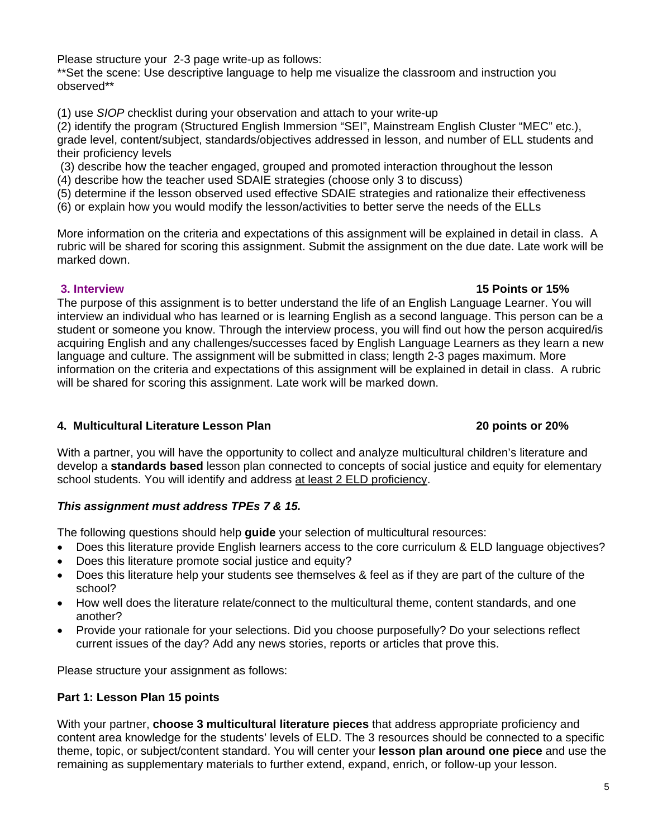Please structure your 2-3 page write-up as follows:

\*\*Set the scene: Use descriptive language to help me visualize the classroom and instruction you observed\*\*

(1) use *SIOP* checklist during your observation and attach to your write-up

(2) identify the program (Structured English Immersion "SEI", Mainstream English Cluster "MEC" etc.), grade level, content/subject, standards/objectives addressed in lesson, and number of ELL students and their proficiency levels

(3) describe how the teacher engaged, grouped and promoted interaction throughout the lesson

(4) describe how the teacher used SDAIE strategies (choose only 3 to discuss)

(5) determine if the lesson observed used effective SDAIE strategies and rationalize their effectiveness

(6) or explain how you would modify the lesson/activities to better serve the needs of the ELLs

More information on the criteria and expectations of this assignment will be explained in detail in class. A rubric will be shared for scoring this assignment. Submit the assignment on the due date. Late work will be marked down.

#### **3. Interview 15 Points or 15%**

The purpose of this assignment is to better understand the life of an English Language Learner. You will interview an individual who has learned or is learning English as a second language. This person can be a student or someone you know. Through the interview process, you will find out how the person acquired/is acquiring English and any challenges/successes faced by English Language Learners as they learn a new language and culture. The assignment will be submitted in class; length 2-3 pages maximum. More information on the criteria and expectations of this assignment will be explained in detail in class. A rubric will be shared for scoring this assignment. Late work will be marked down.

#### **4. Multicultural Literature Lesson Plan 20 points or 20%**

With a partner, you will have the opportunity to collect and analyze multicultural children's literature and develop a **standards based** lesson plan connected to concepts of social justice and equity for elementary school students. You will identify and address at least 2 ELD proficiency.

#### *This assignment must address TPEs 7 & 15.*

The following questions should help **guide** your selection of multicultural resources:

- Does this literature provide English learners access to the core curriculum & ELD language objectives?
- Does this literature promote social justice and equity?
- Does this literature help your students see themselves & feel as if they are part of the culture of the school?
- How well does the literature relate/connect to the multicultural theme, content standards, and one another?
- Provide your rationale for your selections. Did you choose purposefully? Do your selections reflect current issues of the day? Add any news stories, reports or articles that prove this.

Please structure your assignment as follows:

#### **Part 1: Lesson Plan 15 points**

With your partner, **choose 3 multicultural literature pieces** that address appropriate proficiency and content area knowledge for the students' levels of ELD. The 3 resources should be connected to a specific theme, topic, or subject/content standard. You will center your **lesson plan around one piece** and use the remaining as supplementary materials to further extend, expand, enrich, or follow-up your lesson.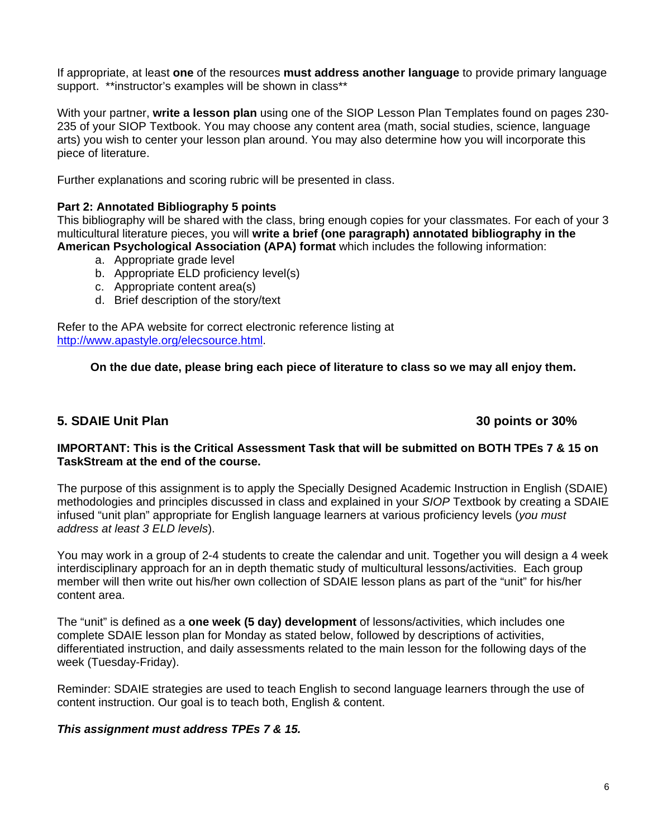If appropriate, at least **one** of the resources **must address another language** to provide primary language support. \*\*instructor's examples will be shown in class\*\*

With your partner, **write a lesson plan** using one of the SIOP Lesson Plan Templates found on pages 230- 235 of your SIOP Textbook. You may choose any content area (math, social studies, science, language arts) you wish to center your lesson plan around. You may also determine how you will incorporate this piece of literature.

Further explanations and scoring rubric will be presented in class.

#### **Part 2: Annotated Bibliography 5 points**

This bibliography will be shared with the class, bring enough copies for your classmates. For each of your 3 multicultural literature pieces, you will **write a brief (one paragraph) annotated bibliography in the American Psychological Association (APA) format** which includes the following information:

- a. Appropriate grade level
- b. Appropriate ELD proficiency level(s)
- c. Appropriate content area(s)
- d. Brief description of the story/text

Refer to the APA website for correct electronic reference listing at http://www.apastyle.org/elecsource.html.

**On the due date, please bring each piece of literature to class so we may all enjoy them.** 

# **5. SDAIE Unit Plan 30 points or 30%**

### **IMPORTANT: This is the Critical Assessment Task that will be submitted on BOTH TPEs 7 & 15 on TaskStream at the end of the course.**

The purpose of this assignment is to apply the Specially Designed Academic Instruction in English (SDAIE) methodologies and principles discussed in class and explained in your *SIOP* Textbook by creating a SDAIE infused "unit plan" appropriate for English language learners at various proficiency levels (*you must address at least 3 ELD levels*).

You may work in a group of 2-4 students to create the calendar and unit. Together you will design a 4 week interdisciplinary approach for an in depth thematic study of multicultural lessons/activities. Each group member will then write out his/her own collection of SDAIE lesson plans as part of the "unit" for his/her content area.

The "unit" is defined as a **one week (5 day) development** of lessons/activities, which includes one complete SDAIE lesson plan for Monday as stated below, followed by descriptions of activities, differentiated instruction, and daily assessments related to the main lesson for the following days of the week (Tuesday-Friday).

Reminder: SDAIE strategies are used to teach English to second language learners through the use of content instruction. Our goal is to teach both, English & content.

#### *This assignment must address TPEs 7 & 15.*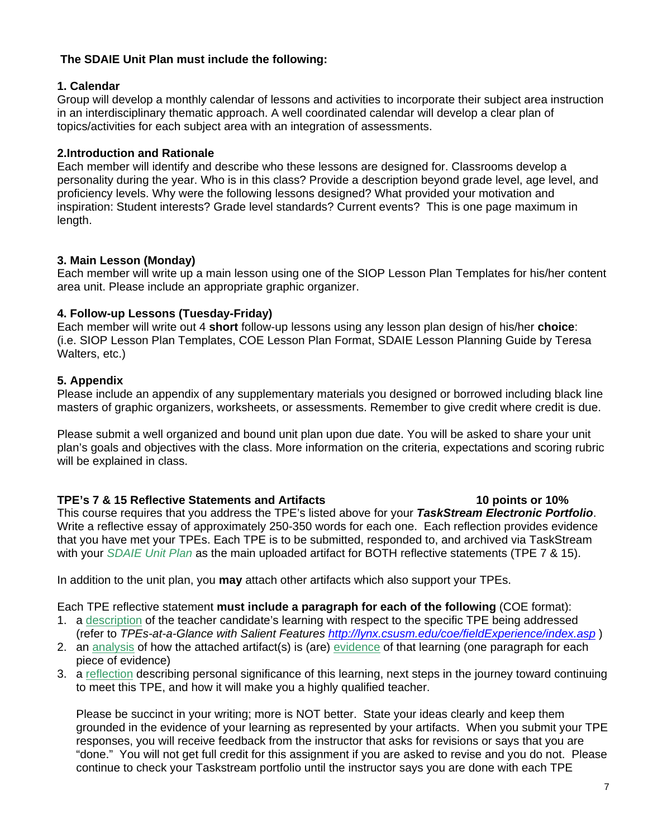## **The SDAIE Unit Plan must include the following:**

## **1. Calendar**

Group will develop a monthly calendar of lessons and activities to incorporate their subject area instruction in an interdisciplinary thematic approach. A well coordinated calendar will develop a clear plan of topics/activities for each subject area with an integration of assessments.

## **2.Introduction and Rationale**

Each member will identify and describe who these lessons are designed for. Classrooms develop a personality during the year. Who is in this class? Provide a description beyond grade level, age level, and proficiency levels. Why were the following lessons designed? What provided your motivation and inspiration: Student interests? Grade level standards? Current events? This is one page maximum in length.

## **3. Main Lesson (Monday)**

Each member will write up a main lesson using one of the SIOP Lesson Plan Templates for his/her content area unit. Please include an appropriate graphic organizer.

#### **4. Follow-up Lessons (Tuesday-Friday)**

Each member will write out 4 **short** follow-up lessons using any lesson plan design of his/her **choice**: (i.e. SIOP Lesson Plan Templates, COE Lesson Plan Format, SDAIE Lesson Planning Guide by Teresa Walters, etc.)

#### **5. Appendix**

Please include an appendix of any supplementary materials you designed or borrowed including black line masters of graphic organizers, worksheets, or assessments. Remember to give credit where credit is due.

Please submit a well organized and bound unit plan upon due date. You will be asked to share your unit plan's goals and objectives with the class. More information on the criteria, expectations and scoring rubric will be explained in class.

#### **TPE's 7 & 15 Reflective Statements and Artifacts 10 points or 10%**

This course requires that you address the TPE's listed above for your *TaskStream Electronic Portfolio*. Write a reflective essay of approximately 250-350 words for each one. Each reflection provides evidence that you have met your TPEs. Each TPE is to be submitted, responded to, and archived via TaskStream with your *SDAIE Unit Plan* as the main uploaded artifact for BOTH reflective statements (TPE 7 & 15).

In addition to the unit plan, you **may** attach other artifacts which also support your TPEs.

Each TPE reflective statement **must include a paragraph for each of the following** (COE format):

- 1. a description of the teacher candidate's learning with respect to the specific TPE being addressed (refer to *TPEs-at-a-Glance with Salient Features http://lynx.csusm.edu/coe/fieldExperience/index.asp* )
- 2. an analysis of how the attached artifact(s) is (are) evidence of that learning (one paragraph for each piece of evidence)
- 3. a reflection describing personal significance of this learning, next steps in the journey toward continuing to meet this TPE, and how it will make you a highly qualified teacher.

Please be succinct in your writing; more is NOT better. State your ideas clearly and keep them grounded in the evidence of your learning as represented by your artifacts. When you submit your TPE responses, you will receive feedback from the instructor that asks for revisions or says that you are "done." You will not get full credit for this assignment if you are asked to revise and you do not. Please continue to check your Taskstream portfolio until the instructor says you are done with each TPE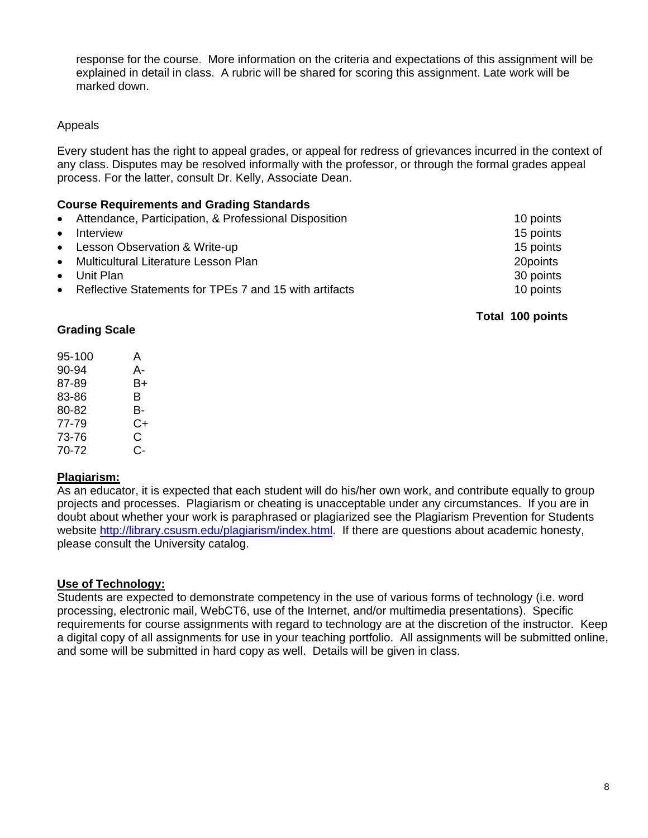response for the course. More information on the criteria and expectations of this assignment will be explained in detail in class. A rubric will be shared for scoring this assignment. Late work will be marked down.

## Appeals

Every student has the right to appeal grades, or appeal for redress of grievances incurred in the context of any class. Disputes may be resolved informally with the professor, or through the formal grades appeal process. For the latter, consult Dr. Kelly, Associate Dean.

### **Course Requirements and Grading Standards**

|           | • Attendance, Participation, & Professional Disposition  | 10 points |
|-----------|----------------------------------------------------------|-----------|
| $\bullet$ | Interview                                                | 15 points |
|           | • Lesson Observation & Write-up                          | 15 points |
|           | • Multicultural Literature Lesson Plan                   | 20points  |
|           | $\bullet$ Unit Plan                                      | 30 points |
|           | • Reflective Statements for TPEs 7 and 15 with artifacts | 10 points |
|           |                                                          |           |

 **Total 100 points**

## **Grading Scale**

| 95-100 | A  |
|--------|----|
| 90-94  | А- |
| 87-89  | B+ |
| 83-86  | в  |
| 80-82  | в- |
| 77-79  | C+ |
| 73-76  | C  |
| 70-72  | င- |

# **Plagiarism:**

As an educator, it is expected that each student will do his/her own work, and contribute equally to group projects and processes. Plagiarism or cheating is unacceptable under any circumstances. If you are in doubt about whether your work is paraphrased or plagiarized see the Plagiarism Prevention for Students website http://library.csusm.edu/plagiarism/index.html. If there are questions about academic honesty, please consult the University catalog.

# **Use of Technology:**

Students are expected to demonstrate competency in the use of various forms of technology (i.e. word processing, electronic mail, WebCT6, use of the Internet, and/or multimedia presentations). Specific requirements for course assignments with regard to technology are at the discretion of the instructor. Keep a digital copy of all assignments for use in your teaching portfolio. All assignments will be submitted online, and some will be submitted in hard copy as well. Details will be given in class.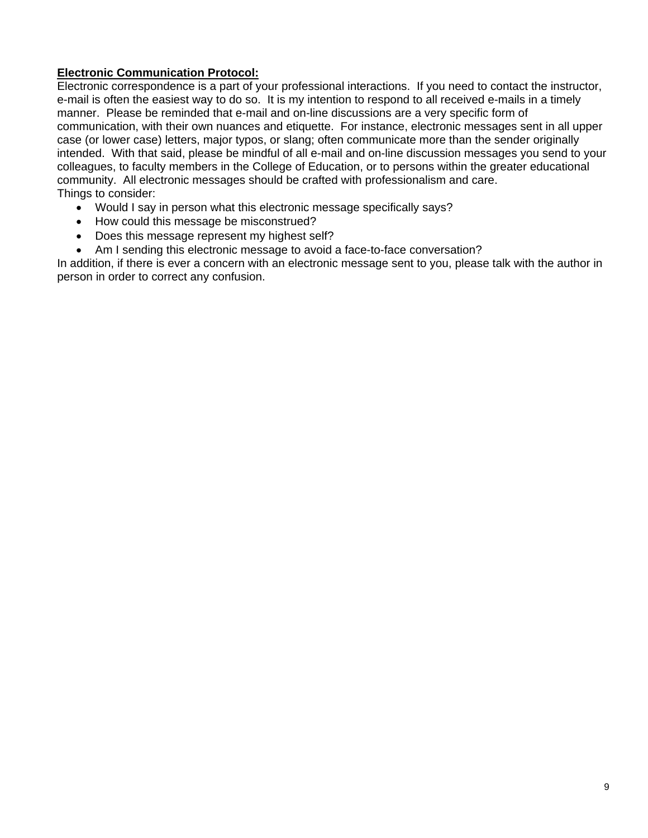# **Electronic Communication Protocol:**

Electronic correspondence is a part of your professional interactions. If you need to contact the instructor, e-mail is often the easiest way to do so. It is my intention to respond to all received e-mails in a timely manner. Please be reminded that e-mail and on-line discussions are a very specific form of communication, with their own nuances and etiquette. For instance, electronic messages sent in all upper case (or lower case) letters, major typos, or slang; often communicate more than the sender originally intended. With that said, please be mindful of all e-mail and on-line discussion messages you send to your colleagues, to faculty members in the College of Education, or to persons within the greater educational community. All electronic messages should be crafted with professionalism and care. Things to consider:

- Would I say in person what this electronic message specifically says?
- How could this message be misconstrued?
- Does this message represent my highest self?
- Am I sending this electronic message to avoid a face-to-face conversation?

In addition, if there is ever a concern with an electronic message sent to you, please talk with the author in person in order to correct any confusion.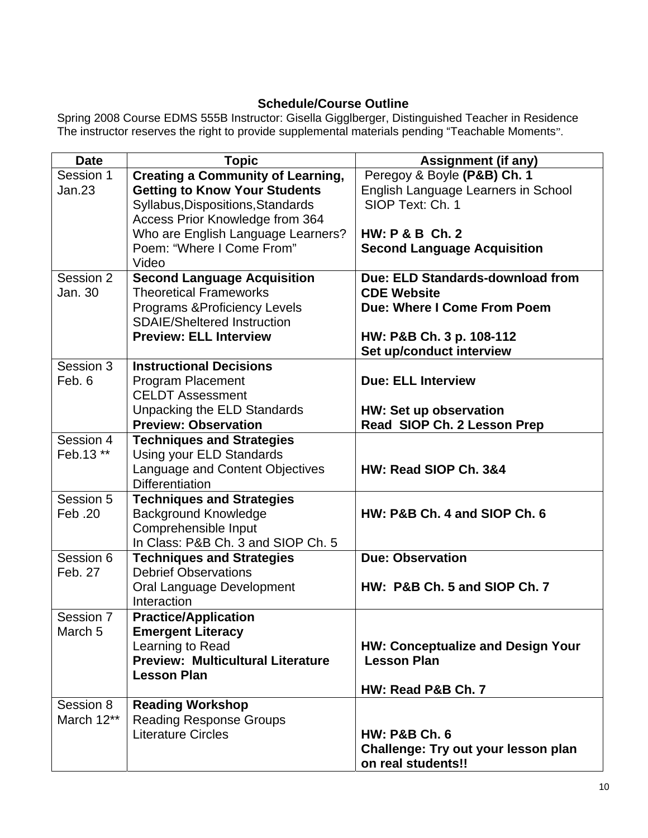# **Schedule/Course Outline**

Spring 2008 Course EDMS 555B Instructor: Gisella Gigglberger, Distinguished Teacher in Residence The instructor reserves the right to provide supplemental materials pending "Teachable Moments".

| <b>Date</b>        | <b>Topic</b>                             | <b>Assignment (if any)</b>               |
|--------------------|------------------------------------------|------------------------------------------|
| Session 1          | <b>Creating a Community of Learning,</b> | Peregoy & Boyle (P&B) Ch. 1              |
| Jan.23             | <b>Getting to Know Your Students</b>     | English Language Learners in School      |
|                    | Syllabus, Dispositions, Standards        | SIOP Text: Ch. 1                         |
|                    | Access Prior Knowledge from 364          |                                          |
|                    | Who are English Language Learners?       | <b>HW: P &amp; B Ch. 2</b>               |
|                    | Poem: "Where I Come From"                | <b>Second Language Acquisition</b>       |
|                    | Video                                    |                                          |
| Session 2          | <b>Second Language Acquisition</b>       | Due: ELD Standards-download from         |
| Jan. 30            | <b>Theoretical Frameworks</b>            | <b>CDE Website</b>                       |
|                    | <b>Programs &amp; Proficiency Levels</b> | Due: Where I Come From Poem              |
|                    | <b>SDAIE/Sheltered Instruction</b>       |                                          |
|                    | <b>Preview: ELL Interview</b>            | HW: P&B Ch. 3 p. 108-112                 |
|                    |                                          | Set up/conduct interview                 |
| Session 3          | <b>Instructional Decisions</b>           |                                          |
| Feb. 6             | <b>Program Placement</b>                 | <b>Due: ELL Interview</b>                |
|                    | <b>CELDT Assessment</b>                  |                                          |
|                    | Unpacking the ELD Standards              | HW: Set up observation                   |
|                    | <b>Preview: Observation</b>              | Read SIOP Ch. 2 Lesson Prep              |
| Session 4          | <b>Techniques and Strategies</b>         |                                          |
| Feb.13 **          | Using your ELD Standards                 |                                          |
|                    | Language and Content Objectives          | HW: Read SIOP Ch. 3&4                    |
|                    | <b>Differentiation</b>                   |                                          |
| Session 5          | <b>Techniques and Strategies</b>         |                                          |
| Feb. 20            | <b>Background Knowledge</b>              | HW: P&B Ch. 4 and SIOP Ch. 6             |
|                    | Comprehensible Input                     |                                          |
|                    | In Class: P&B Ch. 3 and SIOP Ch. 5       |                                          |
| Session 6          | <b>Techniques and Strategies</b>         | <b>Due: Observation</b>                  |
| Feb. 27            | <b>Debrief Observations</b>              |                                          |
|                    | Oral Language Development                | HW: P&B Ch. 5 and SIOP Ch. 7             |
|                    | Interaction                              |                                          |
| Session 7          | <b>Practice/Application</b>              |                                          |
| March <sub>5</sub> | <b>Emergent Literacy</b>                 |                                          |
|                    | Learning to Read                         | <b>HW: Conceptualize and Design Your</b> |
|                    | <b>Preview: Multicultural Literature</b> | <b>Lesson Plan</b>                       |
|                    | <b>Lesson Plan</b>                       |                                          |
|                    |                                          | HW: Read P&B Ch. 7                       |
| Session 8          | <b>Reading Workshop</b>                  |                                          |
| March 12**         | <b>Reading Response Groups</b>           |                                          |
|                    | <b>Literature Circles</b>                | <b>HW: P&amp;B Ch. 6</b>                 |
|                    |                                          | Challenge: Try out your lesson plan      |
|                    |                                          | on real students!!                       |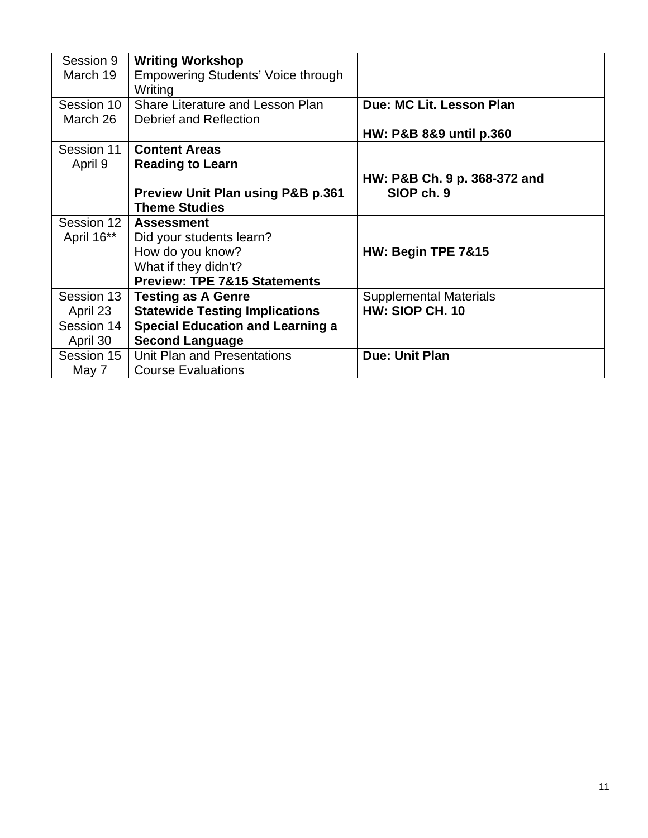| Session 9<br>March 19 | <b>Writing Workshop</b><br><b>Empowering Students' Voice through</b><br>Writing |                               |
|-----------------------|---------------------------------------------------------------------------------|-------------------------------|
| Session 10            | Share Literature and Lesson Plan                                                | Due: MC Lit. Lesson Plan      |
| March 26              | Debrief and Reflection                                                          |                               |
|                       |                                                                                 | HW: P&B 8&9 until p.360       |
| Session 11            | <b>Content Areas</b>                                                            |                               |
| April 9               | <b>Reading to Learn</b>                                                         |                               |
|                       |                                                                                 | HW: P&B Ch. 9 p. 368-372 and  |
|                       | <b>Preview Unit Plan using P&amp;B p.361</b>                                    | SIOP ch. 9                    |
|                       | <b>Theme Studies</b>                                                            |                               |
| Session 12            | <b>Assessment</b>                                                               |                               |
| April 16**            | Did your students learn?                                                        |                               |
|                       | How do you know?                                                                | HW: Begin TPE 7&15            |
|                       | What if they didn't?                                                            |                               |
|                       | <b>Preview: TPE 7&amp;15 Statements</b>                                         |                               |
| Session 13            | <b>Testing as A Genre</b>                                                       | <b>Supplemental Materials</b> |
| April 23              | <b>Statewide Testing Implications</b>                                           | HW: SIOP CH. 10               |
| Session 14            | <b>Special Education and Learning a</b>                                         |                               |
| April 30              | <b>Second Language</b>                                                          |                               |
| Session 15            | Unit Plan and Presentations                                                     | <b>Due: Unit Plan</b>         |
| May 7                 | <b>Course Evaluations</b>                                                       |                               |